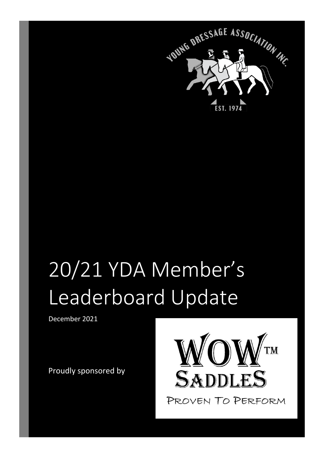

## 20/21 YDA Member's Leaderboard Update

December 2021

Proudly sponsored by

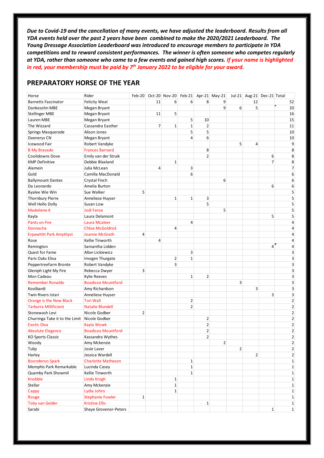*Due to Covid-19 and the cancellation of many events, we have adjusted the leaderboard. Results from all YDA events held over the past 2 years have been combined to make the 2020/2021 Leaderboard. The Young Dressage Association Leaderboard was introduced to encourage members to participate in YDA competitions and to reward consistent performances. The winner is often someone who competes regularly at YDA, rather than someone who came to a few events and gained high scores. If your name is highlighted in red, your membership must be paid by 7th January 2022 to be eligible for your award.*

#### **PREPARATORY HORSE OF THE YEAR**

| Horse                          | Rider                     |                |                | Feb-20 Oct-20 Nov-20 Feb-21 Apr-21 May-21 |                |                |                |                |                | Jul-21 Aug-21 Dec-21 Total |                         |
|--------------------------------|---------------------------|----------------|----------------|-------------------------------------------|----------------|----------------|----------------|----------------|----------------|----------------------------|-------------------------|
| <b>Barnetts Fascinator</b>     | <b>Felicity Weal</b>      |                | 11             | 6                                         | 6              | 8              | 9              |                | 12             |                            | 52                      |
| Dankesohn MBE                  | Megan Bryant              |                |                |                                           |                |                | 9              | 6              | 5              |                            | 20                      |
| <b>Stellinger MBE</b>          | Megan Bryant              |                | 11             | 5                                         |                |                |                |                |                |                            | 16                      |
| Lauren MBE                     | Megan Bryant              |                |                |                                           | 5              | 10             |                |                |                |                            | 15                      |
| The Wizzard                    | Cassandra Easther         |                | $\overline{7}$ | $\mathbf{1}$                              | $\mathbf 1$    | $\overline{2}$ |                |                |                |                            | 11                      |
| Springs Masquerade             | Alison Jones              |                |                |                                           | 5              | 5              |                |                |                |                            | 10                      |
| Daenerys CN                    | Megan Bryant              |                |                |                                           | 4              | 6              |                |                |                |                            | 10                      |
| Icewood Fair                   | Robert Vandyke            |                |                |                                           |                |                |                | 5              | 4              |                            | 9                       |
| <b>B My Bravado</b>            | <b>Frances Barnard</b>    |                |                |                                           |                | 8              |                |                |                |                            | 8                       |
| Coolidowns Dove                | Emily van der Struik      |                |                |                                           |                | $\overline{2}$ |                |                |                | 6                          | 8                       |
| <b>KMP Definitive</b>          | Debbie Blaxland           |                |                | $\mathbf{1}$                              |                |                |                |                |                | $\overline{7}$             | 8                       |
| Alamein                        | Julia McLean              |                | 4              |                                           | 3              |                |                |                |                |                            | $\overline{\mathbf{7}}$ |
| Gold                           | Camilla MacDonald         |                |                |                                           | 6              |                |                |                |                |                            | 6                       |
|                                |                           |                |                |                                           |                |                |                |                |                |                            | 6                       |
| <b>Ballymount Dantes</b>       | Crystal Finch             |                |                |                                           |                |                | 6              |                |                | 6                          |                         |
| Da Leonardo                    | Amelia Burton             |                |                |                                           |                |                |                |                |                |                            | 6<br>5                  |
| <b>Byalee Wie Win</b>          | Sue Walker                | 5              |                |                                           |                |                |                |                |                |                            |                         |
| <b>Thornbury Pierre</b>        | Anneliese Huyser          |                |                | $\mathbf{1}$                              | $\mathbf{1}$   | 3              |                |                |                |                            | 5                       |
| Well Hello Dolly               | Susan Low                 |                |                |                                           |                | 5              |                |                |                |                            | 5                       |
| <b>Madeliene K</b>             | <b>Jodi Faroe</b>         |                |                |                                           |                |                | 5              |                |                |                            | 5                       |
| Kayla                          | Laura Delamont            |                |                |                                           |                |                |                |                |                | 5                          | 5                       |
| <b>Pants on Fire</b>           | Laura Mcaleer             |                |                |                                           | 4              |                |                |                |                |                            | 4                       |
| Donnacha                       | <b>Chloe McGoldrick</b>   |                |                | 4                                         |                |                |                |                |                |                            | 4                       |
| <b>Erpawhitt Park Amythyst</b> | <b>Joanne McGrath</b>     | $\overline{4}$ |                |                                           |                |                |                |                |                |                            | 4                       |
| Rose                           | Kellie Tinworth           |                | 4              |                                           |                |                |                |                |                |                            | 4                       |
| Remington                      | Samantha Lidden           |                |                |                                           |                |                |                |                |                | 4                          | 4                       |
| Quest for Fame                 | Allan Lickiewicz          |                |                |                                           | 3              |                |                |                |                |                            | 3                       |
| Paris Oaks Elixa               | Imogen Thurgate           |                |                | $\overline{2}$                            | $\mathbf{1}$   |                |                |                |                |                            | 3                       |
| Peppertreefarm Bronte          | Robert Vandyke            |                |                | 3                                         |                |                |                |                |                |                            | 3                       |
| Gleniph Light My Fire          | Rebecca Dwyer             | 3              |                |                                           |                |                |                |                |                |                            | 3                       |
| Mon Cadeau                     | <b>Kylie Reeves</b>       |                |                |                                           | $\mathbf{1}$   | $\overline{2}$ |                |                |                |                            | 3                       |
| <b>Remember Ronaldo</b>        | <b>Boadicea Mountford</b> |                |                |                                           |                |                |                | 3              |                |                            | 3                       |
| Koolbardi                      | Amy Richardson            |                |                |                                           |                |                |                |                | 3              |                            | 3                       |
| Twin Rivers Istari             | Anneliese Huyser          |                |                |                                           |                |                |                |                |                | 3                          | 3                       |
| Orange is the New Black        | <b>Tori Wall</b>          |                |                |                                           | 2              |                |                |                |                |                            | $\overline{2}$          |
| <b>Tarburra Millificient</b>   | <b>Natalie Blundell</b>   |                |                |                                           | $\overline{2}$ |                |                |                |                |                            | $\overline{2}$          |
| Stonewash Levi                 | Nicole Godber             | $\overline{2}$ |                |                                           |                |                |                |                |                |                            | $\overline{\mathbf{c}}$ |
| Churringa Take it to the Limit | Nicole Godber             |                |                |                                           |                | 2              |                |                |                |                            | $\overline{2}$          |
| <b>Exotic Diva</b>             | Kayla Wowk                |                |                |                                           |                | 2              |                |                |                |                            | $\overline{2}$          |
| <b>Absolute Elegance</b>       | <b>Boadicea Mountford</b> |                |                |                                           |                | $\overline{2}$ |                |                |                |                            | $\overline{2}$          |
| <b>KO Sports Classic</b>       | Kassandra Wythes          |                |                |                                           |                | 2              |                |                |                |                            | 2                       |
| Woody                          | Amy Mckenzie              |                |                |                                           |                |                | $\overline{2}$ |                |                |                            | $\overline{2}$          |
| Tulip                          | Josie Laver               |                |                |                                           |                |                |                | $\overline{2}$ |                |                            | $\overline{2}$          |
| Harley                         | Jessica Wardell           |                |                |                                           |                |                |                |                | $\overline{2}$ |                            | $\overline{2}$          |
| <b>Boonderoo Spark</b>         | <b>Charlotte Matheson</b> |                |                |                                           | $\mathbf 1$    |                |                |                |                |                            | $\mathbf 1$             |
| Memphis Park Remarkable        | Lucinda Casey             |                |                |                                           | 1              |                |                |                |                |                            | $\mathbf{1}$            |
| Quamby Park Showmil            | Kellie Tinworth           |                |                |                                           | 1              |                |                |                |                |                            | $\mathbf 1$             |
| Knobbie                        | Linda Krogh               |                |                | 1                                         |                |                |                |                |                |                            | $\mathbf 1$             |
| Stellar                        | Amy Mckenzie              |                |                | $\mathbf{1}$                              |                |                |                |                |                |                            | $\mathbf{1}$            |
| Cappy                          | Lydia Johns               |                |                | $\mathbf{1}$                              |                |                |                |                |                |                            | $\mathbf 1$             |
| Rouge                          | <b>Stephanie Fowler</b>   | $\mathbf 1$    |                |                                           |                |                |                |                |                |                            | $\mathbf{1}$            |
| <b>Toby van Gelder</b>         | <b>Kristine Ellis</b>     |                |                |                                           |                | 1              |                |                |                |                            | $\mathbf{1}$            |
| Sarabi                         | Shaye Grovenor-Peters     |                |                |                                           |                |                |                |                |                | $\mathbf{1}$               | $\mathbf 1$             |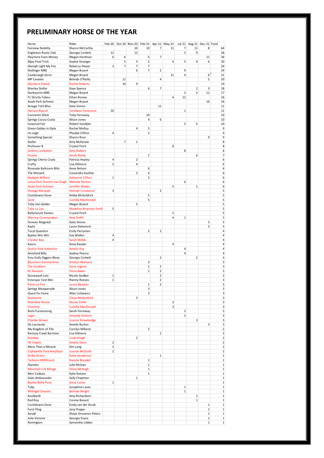#### **PRELIMINARY HORSE OF THE YEAR**

| Horse                              | Rider                    |                |                |                |                         |                         | Feb-20 Oct-20 Nov-20 Feb-21 Apr-21 May-21 |                | Jul-21 Aug-21 Dec-21 Total |              |                |
|------------------------------------|--------------------------|----------------|----------------|----------------|-------------------------|-------------------------|-------------------------------------------|----------------|----------------------------|--------------|----------------|
| <b>Fairview Nobility</b>           | Sharon McCarthy          |                |                | 10             | 10                      | 7                       | 11                                        | 7              | 11                         | 8            | 64             |
| <b>Engleston Rustic Oak</b>        | Georgia Corbett          | 12             |                | 12             |                         |                         |                                           | 3              | 9                          |              | 36             |
| Playmore Even Money                | Megan Hardman            | 6              | 6              |                | 6                       | $\overline{7}$          |                                           |                |                            | 11           | 36             |
| Mjay Final Trick                   | Sophie Grainger          |                | 5              | 4              | $\overline{2}$          |                         | $\sqrt{4}$                                | 5              | 4                          | 6            | 30             |
|                                    |                          | 3              | $\overline{7}$ | $\overline{7}$ | $\overline{7}$          |                         |                                           |                |                            |              | 24             |
| Gleniph Light My Fire              | Rebecca Dwyer            |                |                | 6              | $\overline{7}$          | $\overline{2}$          |                                           | 9              |                            |              | 24             |
| <b>Stellinger MBE</b>              | Megan Bryant             |                |                |                |                         |                         |                                           |                |                            |              |                |
| Castleraegh Zorro                  | Megan Bryant             |                |                |                |                         |                         | 11                                        | $\overline{4}$ |                            | 6            | 21             |
| <b>MP Cavalier</b>                 | Belinda O'Reilly         |                | 11             |                |                         | $\overline{4}$          |                                           |                |                            | 5            | 20             |
| <b>Glandore Elated</b>             | <b>Rachel Roberts</b>    |                | 10             | 9              |                         |                         |                                           |                |                            |              | 19             |
| <b>Brierley Stellar</b>            | Kaye Spence              |                |                |                | 6                       | 7                       |                                           |                | 2                          | 3            | 18             |
| Dankesohn MBE                      | Megan Bryant             |                |                |                |                         |                         |                                           | 3              | 3                          | 11           | 17             |
| F1 Strictly Taboo                  | <b>Ethan Romas</b>       |                |                |                |                         |                         | $\overline{4}$                            | 12             |                            |              | 16             |
| Anaki Park Sofinest                | Megan Bryant             |                |                |                |                         |                         |                                           |                |                            | 16           | 16             |
| <b>Arnage Totil Bliss</b>          | Kaila Simms              |                |                |                |                         | 11                      |                                           |                |                            |              | 11             |
| <b>Harvest Ripcurl</b>             | <b>Ceridwen Fenemore</b> | 10             |                |                |                         |                         |                                           | $\mathbf 1$    |                            |              | 11             |
| Cooramin Shine                     | <b>Toby Farraway</b>     |                |                |                | 10                      |                         |                                           |                |                            |              | 10             |
| Springs Cocoa Coala                | Alison Jones             |                |                |                | $\overline{4}$          | 6                       |                                           |                |                            |              | 10             |
| Icewood Fair                       |                          |                |                |                |                         |                         |                                           | 5              | 5                          |              | 10             |
|                                    | Robert Vandyke           |                |                |                |                         |                         |                                           |                |                            |              |                |
| Green Gables in Style              | Rachel Molloy            |                |                | $\overline{4}$ | 5                       |                         |                                           |                |                            |              | 9              |
| Im Legit                           | Phoebe Clifton           | $\overline{4}$ |                |                | 5                       |                         |                                           |                |                            |              | 9              |
| Something Special                  | Sharon Ross              |                |                |                |                         |                         |                                           |                |                            | 9            | 9              |
| Stellar                            | Amy McKenzie             |                | $\overline{7}$ | $\mathbf{1}$   |                         |                         |                                           |                |                            |              | 8              |
| Professor B                        | Crystal Finch            |                |                |                |                         |                         | 8                                         |                |                            |              | 8              |
| Sanlirra Levitation                | <b>Amy Diebert</b>       |                |                |                |                         |                         |                                           | 8              |                            |              | 8              |
| <b>Fourex</b>                      | <b>Sarah Shady</b>       |                |                |                | $\,1\,$                 |                         |                                           |                | 6                          |              | $\overline{7}$ |
| Springs Cherry Coala               | Patricia Healey          | 4              |                | $\overline{2}$ |                         |                         |                                           |                |                            |              | 6              |
| Crafty                             | Lisa Killmore            | $\overline{2}$ |                | $\overline{4}$ |                         |                         |                                           |                |                            |              | 6              |
| Rosevale Ballroom Blitz            | Anne Nelson              |                |                |                | 6                       |                         |                                           |                |                            |              | 6              |
| The Wizzard                        | Cassandra Easther        |                |                | $\overline{2}$ | $\overline{4}$          |                         |                                           |                |                            |              | 6              |
|                                    | <b>Katherine Clifton</b> | $\,1\,$        |                |                | 5                       |                         |                                           |                |                            |              | 6              |
| Nadajak William                    |                          |                |                |                |                         |                         |                                           |                |                            |              |                |
| <b>Lotus Park Vincent Van Gogh</b> | <b>Melinda Norton</b>    |                |                |                |                         |                         |                                           | 6              |                            |              | 6              |
| Anaki Park Sofinest                | Jennifer Wailes          |                |                |                |                         |                         | 5                                         |                | $\mathbf 1$                |              | 6              |
| <b>Vintage Marquet</b>             | <b>Hannah Constance</b>  | 3              |                |                |                         | $\overline{2}$          |                                           |                |                            |              | 5              |
| Coolidowns Dove                    | Amba McGoldrick          |                |                |                | 5                       |                         |                                           |                |                            |              | 5              |
| Gold                               | Camilla MacDonald        |                |                |                | 5                       |                         |                                           |                |                            |              | 5              |
| <b>Toby Van Gelder</b>             | Megan Bryant             |                |                | 5              |                         |                         |                                           |                |                            |              | 5              |
| Tulla La Lea                       | Madeline Bowman-Smith    | 5              |                |                |                         |                         |                                           |                |                            |              | 5              |
| <b>Ballymount Dantes</b>           | Crystal Finch            |                |                |                |                         |                         | 5                                         |                |                            |              | 5              |
| <b>Warrina Commandeer</b>          | <b>Amy Smith</b>         |                |                |                |                         |                         | $\overline{4}$                            | $\mathbf 1$    |                            |              | 5              |
| Forever Magickal                   | Kaila Simms              |                |                |                |                         |                         |                                           |                |                            | 5            | 5              |
| Kayla                              | Laura Delamont           |                |                |                |                         |                         |                                           |                |                            | 5            | 5              |
| <b>Tocal Question</b>              | Emily Perryman           |                |                |                | $\overline{2}$          | 2                       |                                           |                |                            |              | 4              |
|                                    | Sue Walker               | 4              |                |                |                         |                         |                                           |                |                            |              | 4              |
| <b>Byalee Wie Win</b>              |                          |                |                |                |                         |                         |                                           |                |                            |              |                |
| <b>Chester Bay</b>                 | Sarah Webb               | $\overline{4}$ |                |                |                         |                         |                                           |                |                            |              | 4              |
| Kazoo                              | Anne Reader              |                |                |                |                         |                         | $\overline{4}$                            |                |                            |              | 4              |
| <b>Gotico Park Valentino</b>       | Amelia Kay               |                |                |                |                         |                         |                                           | 4              |                            |              | 4              |
| Amisfield Billy                    | <b>Audrey Pearce</b>     |                |                |                |                         |                         |                                           | $\overline{4}$ |                            |              | 4              |
| <b>Emu Gully Diggers Blaze</b>     | Georgia Corbett          |                |                |                |                         | $\overline{\mathbf{c}}$ |                                           |                | $\overline{2}$             |              | 4              |
| <b>Bloomers Summertime</b>         | Kristian Akehurst        |                |                |                | 3                       |                         |                                           |                |                            |              | 3              |
| <b>The Southern</b>                | Hana Jugovic             |                |                |                | $\,1\,$                 | $\overline{2}$          |                                           |                |                            |              | 3              |
| <b>KC Ransom</b>                   | <b>Fiona Baker</b>       |                |                |                | $\,1\,$                 | 2                       |                                           |                |                            |              | 3              |
| Stonewash Levi                     | Nicole Godber            | $\mathbf 1$    |                |                |                         | $\overline{\mathbf{c}}$ |                                           |                |                            |              | 3              |
| Ennovyar Cest Moi                  | Rianna Reeves            | $\mathbf 1$    |                |                |                         | 2                       |                                           |                |                            |              | 3              |
| Pants on Fire                      | Laura Mcaleer            |                |                |                | $\mathbf{1}$            | $\overline{2}$          |                                           |                |                            |              | 3              |
| Springs Masquerade                 | Alison Jones             |                |                |                | 3                       |                         |                                           |                |                            |              | 3              |
| Quest for Fame                     | Allan Lickiewicz         |                |                |                | $\overline{\mathbf{3}}$ |                         |                                           |                |                            |              | 3              |
| Donnacha                           | <b>Chloe McGoldrick</b>  |                |                | 3              |                         |                         |                                           |                |                            |              | 3              |
|                                    |                          |                |                |                |                         |                         |                                           |                |                            |              |                |
| <b>Riverdale Kenzie</b>            | Nicola Smith             |                |                |                |                         |                         | $\overline{\mathbf{3}}$                   |                |                            |              | 3              |
| Chummy                             | Camilla MacDonald        |                |                |                |                         |                         | 3                                         |                |                            |              | 3              |
| Remi Furstensong                   | Sarah Farraway           |                |                |                |                         |                         |                                           | 3              |                            |              | 3              |
| Jager                              | Amanda Dickson           |                |                |                |                         |                         |                                           | 3              |                            |              | 3              |
| <b>Charlier Brown</b>              | Joanne Strawbridge       |                |                |                |                         |                         |                                           |                | 3                          |              | 3              |
| Da Leonardo                        | Amelia Burton            |                |                |                |                         |                         |                                           |                |                            | 3            | 3              |
| My Kingdom of Fife                 | Carolyn Milland          |                |                |                | $\overline{2}$          |                         |                                           |                |                            |              | $\mathbf 2$    |
| Ramsay Creek Barrister             | Lisa Killmore            |                |                |                |                         | $\overline{2}$          |                                           |                |                            |              | $\overline{2}$ |
| Knobbie                            | Linda Krogh              |                |                | $\overline{2}$ |                         |                         |                                           |                |                            |              | $\mathbf 2$    |
| <b>HS Inspire</b>                  | <b>Amelia Davis</b>      | $\overline{2}$ |                |                |                         |                         |                                           |                |                            |              | $\overline{2}$ |
| More Than a Miracle                | Kim Lang                 | $\mathbf 2$    |                |                |                         |                         |                                           |                |                            |              | $\mathbf 2$    |
| <b>Erphawhitt Park Amythyst</b>    | Joanne McGrath           | $\overline{2}$ |                |                |                         |                         |                                           |                |                            |              | $\mathbf 2$    |
| <b>Strike Action</b>               | Katie Henderson          |                |                |                |                         | $\mathbf{1}$            |                                           |                |                            |              | $1\,$          |
| <b>Tarburra Millificient</b>       | <b>Natalie Blundell</b>  |                |                |                | $1\,$                   |                         |                                           |                |                            |              | $\mathbf 1$    |
|                                    |                          |                |                |                |                         |                         |                                           |                |                            |              |                |
| Alamein                            | Julie Mclean             |                |                |                | $1\,$                   |                         |                                           |                |                            |              | $\,1\,$        |
| <b>Mountain Crk Mirage</b>         | Olivia McHugh            |                |                |                | $\mathbf{1}$            |                         |                                           |                |                            |              | $\mathbf 1$    |
| Mon Cadeau                         | <b>Kylie Reeves</b>      |                |                |                | 1                       |                         |                                           |                |                            |              | $1\,$          |
| Oaks Ambassador                    | Sally Chapman            |                |                | $\mathbf 1$    |                         |                         |                                           |                |                            |              | $\mathbf 1$    |
| <b>Byalee Bella Rose</b>           | <b>Anna Carter</b>       | $1\,$          |                |                |                         |                         |                                           |                |                            |              | $1\,$          |
| Tulip                              | Josephine Laver          |                |                |                |                         |                         |                                           | $\mathbf{1}$   |                            |              | $\,1\,$        |
| <b>Midnight Dreams</b>             | <b>Belinda Wright</b>    |                |                |                |                         |                         |                                           | $\mathbf 1$    |                            |              | $\,1\,$        |
| Koolbardi                          | Amy Richardson           |                |                |                |                         |                         |                                           |                | $\mathbf 1$                |              | $\,1\,$        |
| Red Roy                            | Connie Besant            |                |                |                |                         |                         |                                           |                | $\mathbf 1$                |              | $\,1\,$        |
| Coolidowns Dove                    | Emily van der Struik     |                |                |                |                         |                         |                                           |                |                            | $1\,$        | $\,1\,$        |
| <b>Furst Fling</b>                 | Jana Poppe               |                |                |                |                         |                         |                                           |                |                            | $\mathbf{1}$ | $\,1\,$        |
| Sarabi                             | Shaye Grovenor-Peters    |                |                |                |                         |                         |                                           |                |                            | $\mathbf{1}$ | $\,1\,$        |
|                                    |                          |                |                |                |                         |                         |                                           |                |                            |              |                |
| Jolie Victoire                     | Georgia Evans            |                |                |                |                         |                         |                                           |                |                            | $\mathbf{1}$ | $\mathbf 1$    |
| Remington                          | Samantha Lidden          |                |                |                |                         |                         |                                           |                |                            | $\mathbf{1}$ | $1\,$          |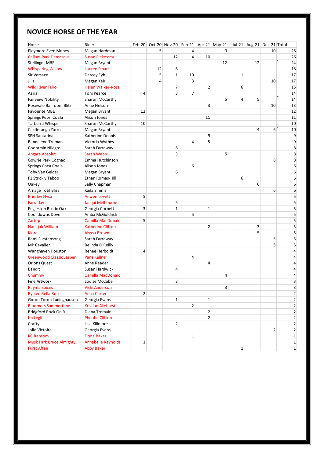#### **NOVICE HORSE OF THE YEAR**

| Horse                                   | Rider                                       | $Feb-20$       |    | Oct-20 Nov-20 Feb-21 Apr-21 May-21 |                |                |    |             | Jul-21 Aug-21 Dec-21 Total |                |                |
|-----------------------------------------|---------------------------------------------|----------------|----|------------------------------------|----------------|----------------|----|-------------|----------------------------|----------------|----------------|
| Playmore Even Money                     | Megan Hardman                               |                | 5  |                                    | 4              |                | 9  |             |                            | 10             | 28             |
| <b>Callum Park Damascus</b>             | <b>Susan Elekessey</b>                      |                |    | 12                                 | $\overline{4}$ | 10             |    |             |                            |                | 26             |
| <b>Stellinger MBE</b>                   | Megan Bryant                                |                |    |                                    |                |                | 12 |             | 12                         |                | 24             |
| <b>Whispering Willow</b>                | <b>Lauren Smart</b>                         |                | 12 | 6                                  |                |                |    |             |                            |                | 18             |
| Sir Versace                             | Darcey Eyb                                  |                | 5  | $\mathbf{1}$                       | 10             |                |    | 1           |                            |                | 17             |
| Jillz                                   | Megan Keir                                  |                | 4  |                                    | 3              |                |    |             |                            | 10             | 17             |
| <b>Wild River Tulio</b>                 | <b>Helen Walker-Ross</b>                    |                |    | 7                                  |                | $\overline{2}$ |    | 6           |                            |                | 15             |
| Aaria                                   | <b>Toni Pearce</b>                          | 4              |    | 3                                  | $\overline{7}$ |                |    |             |                            |                | 14             |
| <b>Fairview Nobility</b>                | Sharon McCarthy                             |                |    |                                    |                |                | 5  | 4           | 5                          |                | 14             |
| Rosevale Ballroom Blitz                 | Anne Nelson                                 |                |    |                                    |                | 3              |    |             |                            | 10             | 13             |
| <b>Favourite MBE</b>                    | Megan Bryant                                | 12             |    |                                    |                |                |    |             |                            |                | 12             |
| Springs Pepsi Coala                     | Alison Jones                                |                |    |                                    |                | 11             |    |             |                            |                | 11             |
| Tarburra Whisper                        | Sharon McCarthy                             | 10             |    |                                    |                |                |    |             |                            |                | 10             |
| Castleraegh Zorro                       | Megan Bryant                                |                |    |                                    |                |                |    |             | 4                          | 6              | $10\,$         |
| SPH Santarina                           | Katherine Dennis                            |                |    |                                    |                | 9              |    |             |                            |                | 9              |
| <b>Bandalene Truman</b>                 | Victoria Wythes                             |                |    |                                    | $\overline{4}$ | 5              |    |             |                            |                | 9              |
| Cooramin Nilegro                        | Sarah Farraway                              |                |    | 8                                  |                |                |    |             |                            |                | 8              |
| Angara Absolut                          | Sarah Webb                                  |                |    | 3                                  |                |                | 5  |             |                            |                | 8              |
| Gowrie Park Cognac                      | Emma Hutchinson                             |                |    |                                    |                |                |    |             |                            | 8              | 8              |
| Springs Coca Coala                      | Alison Jones                                |                |    |                                    | 6              |                |    |             |                            |                | 6              |
| Toby Van Gelder                         | Megan Bryant                                |                |    | 6                                  |                |                |    |             |                            |                | 6              |
| F1 Strickly Taboo                       | Ethan Romas-Hill                            |                |    |                                    |                |                |    | 6           |                            |                | 6              |
| Oakey                                   | Sally Chapman                               |                |    |                                    |                |                |    |             | 6                          |                | 6              |
| <b>Arnage Totil Bliss</b>               | Kaila Simms                                 |                |    |                                    |                |                |    |             |                            | 6              | 6              |
|                                         | <b>Anwen Lovett</b>                         | 5              |    |                                    |                |                |    |             |                            |                | 5              |
| <b>Brierley Nysa</b><br>Farraday        | Jacqui Melbourne                            |                |    | 5                                  |                |                |    |             |                            |                | 5              |
|                                         |                                             | 3              |    | $\mathbf{1}$                       |                | $\mathbf{1}$   |    |             |                            |                | 5              |
| Engleston Rustic Oak<br>Coolidowns Dove | Georgia Corbett                             |                |    |                                    | 5              |                |    |             |                            |                | 5              |
|                                         | Amba McGoldrick<br><b>Camilla MacDonald</b> | 5              |    |                                    |                |                |    |             |                            |                | 5              |
| Zartop                                  |                                             |                |    |                                    |                |                |    |             |                            |                |                |
| Nadajak William                         | Katherine Clifton                           |                |    |                                    |                | $\overline{2}$ |    |             | 3<br>5                     |                | 5<br>5         |
| Kiora                                   | Alyssa Brown                                |                |    |                                    |                |                |    |             |                            | 5              | 5              |
| Remi Furstensong                        | Sarah Farraway                              |                |    |                                    |                |                |    |             |                            | 5              | 5              |
| <b>MP Cavalier</b>                      | Belinda O'Reilly                            |                |    |                                    |                |                |    |             |                            |                |                |
| Wanghaven Houston                       | Renee Herboldt                              | 4              |    |                                    |                |                |    |             |                            |                | 4              |
| <b>Greenwood Classic Jasper</b>         | Paris Kellner                               |                |    |                                    | 4              |                |    |             |                            |                | 4              |
| <b>Orions Quest</b>                     | Anne Reader                                 |                |    |                                    |                | 4              |    |             |                            |                | 4              |
| <b>Bandit</b>                           | Susan Hardwick                              |                |    | 4                                  |                |                |    |             |                            |                | 4              |
| Chummy                                  | <b>Camilla MacDonald</b>                    |                |    |                                    |                |                | 4  |             |                            |                | 4              |
| Fine Artwork                            | Louise McCabe                               |                |    | 3                                  |                |                |    |             |                            |                | 3              |
| <b>Rayma Spices</b>                     | <b>Vicki Anderson</b>                       |                |    |                                    |                |                | 3  |             |                            |                | 3              |
| <b>Byalee Bella Rose</b>                | <b>Anna Carter</b>                          | $\overline{2}$ |    |                                    |                |                |    |             |                            |                | $\overline{2}$ |
| Goron Toron Ludinghausen                | Georgia Evans                               |                |    | $\mathbf{1}$                       |                | $\mathbf{1}$   |    |             |                            |                | 2              |
| <b>Bloomers Summertime</b>              | <b>Kristian Akehurst</b>                    |                |    |                                    | $\overline{2}$ |                |    |             |                            |                | $\overline{2}$ |
| Bridgford Rock On R                     | Diana Tremain                               |                |    |                                    |                | $\overline{2}$ |    |             |                            |                | 2              |
| Im Legit                                | <b>Pheobe Clifton</b>                       |                |    |                                    |                | $\overline{2}$ |    |             |                            |                | 2              |
| Crafty                                  | Lisa Killmore                               |                |    | $\overline{2}$                     |                |                |    |             |                            |                | $\overline{2}$ |
| Jolie Victoire                          | Georgia Evans                               |                |    |                                    |                |                |    |             |                            | $\overline{2}$ | $\overline{2}$ |
| <b>KC Ransom</b>                        | <b>Fiona Baker</b>                          |                |    |                                    | $1\vert$       |                |    |             |                            |                | $\mathbf{1}$   |
| <b>Musk Park Bruce Almighty</b>         | <b>Annabelle Reynolds</b>                   | 1              |    |                                    |                |                |    |             |                            |                | $\mathbf{1}$   |
| <b>Furst Affair</b>                     | <b>Abby Baker</b>                           |                |    |                                    |                |                |    | $\mathbf 1$ |                            |                | $\mathbf{1}$   |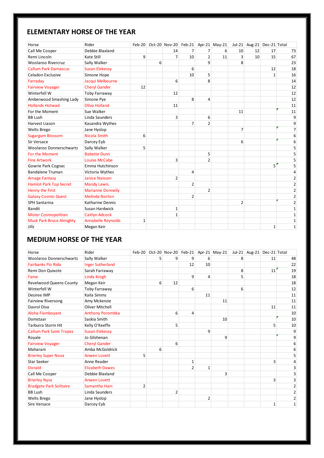#### **ELEMENTARY HORSE OF THE YEAR**

| Horse                           | Rider                     | $Feb-20$ |   | Oct-20 Nov-20 Feb-21 Apr-21 May-21 |                |                |    | $Jul-21$       |    | Aug-21 Dec-21 Total |                |
|---------------------------------|---------------------------|----------|---|------------------------------------|----------------|----------------|----|----------------|----|---------------------|----------------|
| Call Me Cooper                  | Debbie Blaxland           |          |   | 14                                 | 7              | $\overline{7}$ | 6  | 10             | 12 | 17                  | 73             |
| Remi Lincoln                    | Kate Still                | 9        |   | 7                                  | 10             | $\overline{2}$ | 11 | 3              | 10 | 15                  | 67             |
| <b>Woolaroo Rivercruz</b>       | Sally Walker              |          | 6 |                                    |                | 9              |    | 8              |    |                     | 23             |
| <b>Callum Park Damascus</b>     | <b>Susan Elekessy</b>     |          |   |                                    | 6              |                |    |                |    | 12                  | 18             |
| Celadon Exclusive               | Simone Hope               |          |   |                                    | 10             | 5              |    |                |    | $\mathbf{1}$        | 16             |
| Farraday                        | Jacqui Melbourne          |          |   | 6                                  |                | 8              |    |                |    |                     | 14             |
| <b>Fairview Voyager</b>         | <b>Cheryl Gander</b>      | 12       |   |                                    |                |                |    |                |    |                     | 12             |
| Winterfell W                    | Toby Farraway             |          |   | 12                                 |                |                |    |                |    |                     | 12             |
| Amberwood Smashing Lady         | Simone Pye                |          |   |                                    | 8              | 4              |    |                |    |                     | 12             |
| <b>Hollands Hotwad</b>          | Oliva Holland             |          |   | 11                                 |                |                |    |                |    |                     | 11             |
| For the Moment                  | Sue Walker                |          |   |                                    |                |                |    | 11             |    |                     | 11             |
| <b>BB Lush</b>                  | Linda Saunders            |          |   | 3                                  |                | 6              |    |                |    |                     | 9              |
| Harvest Liason                  | Kasandra Wythes           |          |   |                                    | $\overline{7}$ | $\overline{2}$ |    |                |    |                     | 9              |
| <b>Welts Brego</b>              | Jane Hyslop               |          |   |                                    |                |                |    | 7              |    |                     | 7              |
| <b>Sugargum Blossom</b>         | Nicola Smith              | 6        |   |                                    |                |                |    |                |    |                     | 6              |
| Sir Versace                     | Darcey Eyb                |          |   |                                    |                |                |    | 6              |    |                     | 6              |
| Woolaroo Donnerschwartz         | Sally Walker              | 5        |   |                                    |                |                |    |                |    |                     | 5              |
| For the Moment                  | <b>Babette Dunn</b>       |          |   |                                    |                | 5              |    |                |    |                     | 5              |
| <b>Fine Artwork</b>             | Louise McCabe             |          |   | 3                                  |                | $\overline{2}$ |    |                |    |                     | 5              |
| Gowrie Park Cognac              | Emma Hutchinson           |          |   |                                    |                |                |    |                |    | 5                   | 5              |
| <b>Bandalene Truman</b>         | Victoria Wythes           |          |   |                                    | 4              |                |    |                |    |                     | 4              |
| <b>Arnage Fantasy</b>           | <b>Janice Naissen</b>     |          |   | $\overline{2}$                     |                |                |    |                |    |                     | $\overline{2}$ |
| <b>Hamlot Park Top Secret</b>   | <b>Mandy Lewis</b>        |          |   |                                    | $\overline{2}$ |                |    |                |    |                     | $\overline{2}$ |
| Henny the First                 | <b>Marianne Donnelly</b>  |          |   |                                    |                | $\overline{2}$ |    |                |    |                     | 2              |
| <b>Galaxy Cosmic Quest</b>      | <b>Melinda Norton</b>     |          |   |                                    | $\overline{2}$ |                |    |                |    |                     | $\overline{2}$ |
| SPH Santarina                   | Katharine Dennis          |          |   |                                    |                |                |    | $\overline{2}$ |    |                     | $\mathbf 2$    |
| <b>Bandit</b>                   | Susan Hardwick            |          |   | $\mathbf{1}$                       |                |                |    |                |    |                     | $\mathbf{1}$   |
| <b>Mister Cosmopolitian</b>     | <b>Caitlyn Adcock</b>     |          |   | $\mathbf{1}$                       |                |                |    |                |    |                     | 1              |
| <b>Musk Park Bruce Almighty</b> | <b>Annabelle Reynolds</b> | 1        |   |                                    |                |                |    |                |    |                     | 1              |
| Jillz                           | Megan Keir                |          |   |                                    |                |                |    |                |    | $\mathbf 1$         | $\mathbf 1$    |

#### **MEDIUM HORSE OF THE YEAR**

| Horse                           | Rider                   | $Feb-20$       |   |    |              |    | Oct-20 Nov-20 Feb-21 Apr-21 May-21 |   | Jul-21 Aug-21 Dec-21 Total |    |    |
|---------------------------------|-------------------------|----------------|---|----|--------------|----|------------------------------------|---|----------------------------|----|----|
| Woolaroo Donnerschwartz         | Sally Walker            |                | 5 | 9  | 9            | 6  |                                    | 8 |                            | 11 | 48 |
| <b>Fairbanks Flo Rida</b>       | <b>Inger Sutherland</b> |                |   |    | 12           | 10 |                                    |   |                            |    | 22 |
| Remi Don Quixote                | Sarah Farraway          |                |   |    |              |    |                                    | 8 |                            | 11 | 19 |
| Fame                            | Linda Krogh             |                |   |    | 9            | 4  |                                    | 5 |                            |    | 18 |
| <b>Revelwood Queens County</b>  | Megan Keir              |                | 6 | 12 |              |    |                                    |   |                            |    | 18 |
| Winterfell W                    | <b>Toby Farraway</b>    |                |   |    | 6            |    |                                    | 6 |                            |    | 12 |
| Desiree IMP                     | Kaila Simms             |                |   |    |              | 11 |                                    |   |                            |    | 11 |
| <b>Fairview Riversong</b>       | Amy Mckenzie            |                |   |    |              |    | 11                                 |   |                            |    | 11 |
| Davrol Diva                     | <b>Oliver Mitchell</b>  |                |   |    |              |    |                                    |   |                            | 11 | 11 |
| Aloha Flamboyant                | <b>Anthony Porombka</b> |                |   | 6  | 4            |    |                                    |   |                            |    | 10 |
| Domstaar                        | Saskia Smith            |                |   |    |              |    | 10                                 |   |                            |    | 10 |
| <b>Tarburra Storm Hit</b>       | Kelly O'Keeffe          |                |   | 5  |              |    |                                    |   |                            | 5  | 10 |
| <b>Callum Park Saint Tropez</b> | <b>Susan Elekessy</b>   |                |   |    |              | 9  |                                    |   |                            |    | 9  |
| Royale                          | Jo Gilshenan            |                |   |    |              |    | 9                                  |   |                            |    | 9  |
| <b>Fairview Voyager</b>         | <b>Cheryl Gander</b>    |                |   | 6  |              |    |                                    |   |                            |    | 6  |
| Maharani                        | Amba McGoldrick         |                | 6 |    |              |    |                                    |   |                            |    | 6  |
| <b>Brierley Super Nova</b>      | <b>Anwen Lovett</b>     | 5              |   |    |              |    |                                    |   |                            |    | 5  |
| <b>Star Seeker</b>              | Anne Reader             |                |   |    | $\mathbf{1}$ |    |                                    |   |                            | 3  | 4  |
| Donald                          | <b>Elizabeth Dawes</b>  |                |   |    | 2            | 1  |                                    |   |                            |    | 3  |
| Call Me Cooper                  | Debbie Blaxland         |                |   |    |              |    | 3                                  |   |                            |    | 3  |
| <b>Brierley Nysa</b>            | <b>Anwen Lovett</b>     |                |   |    |              |    |                                    |   |                            | 3  | 3  |
| <b>Bradgate Park Solitaire</b>  | Samantha Hain           | $\overline{2}$ |   |    |              |    |                                    |   |                            |    | 2  |
| <b>BB Lush</b>                  | Linda Saunders          |                |   | 2  |              |    |                                    |   |                            |    | 2  |
| <b>Welts Brego</b>              | Jane Hyslop             |                |   |    |              | 2  |                                    |   |                            |    | 2  |
| Sire Versace                    | Darcey Eyb              |                |   |    |              |    |                                    |   |                            | 1  | 1  |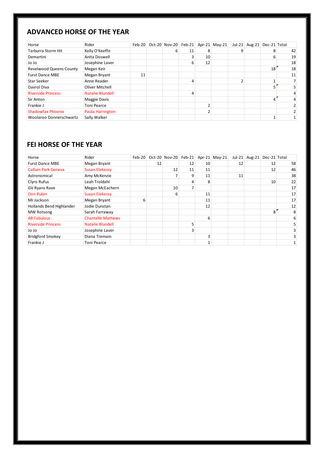#### **ADVANCED HORSE OF THE YEAR**

| Horse                          | Rider                   |    |   |    |    | Feb-20 Oct-20 Nov-20 Feb-21 Apr-21 May-21 | $Jul-21$ | Aug-21 Dec-21 Total |    |    |
|--------------------------------|-------------------------|----|---|----|----|-------------------------------------------|----------|---------------------|----|----|
| <b>Tarburra Storm Hit</b>      | Kelly O'Keeffe          |    | 6 | 11 | 8  |                                           |          |                     |    | 42 |
| Demartini                      | Anita Doswell           |    |   |    | 10 |                                           |          |                     | 6  | 19 |
| Jo Jo                          | Josephine Laver         |    |   | 6  | 12 |                                           |          |                     |    | 18 |
| <b>Revelwood Queens County</b> | Megan Keir              |    |   |    |    |                                           |          |                     | 18 | 18 |
| <b>Furst Dance MBE</b>         | Megan Bryant            | 11 |   |    |    |                                           |          |                     |    | 11 |
| <b>Star Seeker</b>             | Anne Reader             |    |   |    |    |                                           |          |                     |    |    |
| Davrol Diva                    | Oliver Mitchell         |    |   |    |    |                                           |          |                     |    |    |
| <b>Riverside Princess</b>      | <b>Natalie Blundell</b> |    |   |    |    |                                           |          |                     |    |    |
| Sir Anton                      | Maggie Davis            |    |   |    |    |                                           |          |                     |    |    |
| Frankie J                      | <b>Toni Pearce</b>      |    |   |    |    |                                           |          |                     |    |    |
| <b>Shadowfax Phoenix</b>       | Paula Harrington        |    |   |    |    |                                           |          |                     |    |    |
| Woolaroo Donnerschwartz        | Sally Walker            |    |   |    |    |                                           |          |                     |    |    |

#### **FEI HORSE OF THE YEAR**

| Horse                     | Rider                    | $Feb-20$ |    | Oct-20 Nov-20 | $Feb-21$ |    | Apr-21 May-21 | $Jul-21$ | Aug-21 Dec-21 Total |    |
|---------------------------|--------------------------|----------|----|---------------|----------|----|---------------|----------|---------------------|----|
| <b>Furst Dance MBE</b>    | Megan Bryant             |          | 12 |               | 12       | 10 |               | 12       | 12                  | 58 |
| <b>Callum Park Geneva</b> | <b>Susan Elekessy</b>    |          |    | 12            | 11       | 11 |               |          | 12                  | 46 |
| Astronomical              | Amy McKenzie             |          |    |               | 9        | 11 |               | 11       |                     | 38 |
| Clyro Rufus               | Leah Troldahl            |          |    |               |          | 8  |               |          | 10                  | 22 |
| GV Ryans Rave             | Megan McEachern          |          |    | 10            |          |    |               |          |                     | 17 |
| Don Rubin                 | <b>Susan Elekessy</b>    |          |    | 6             |          | 11 |               |          |                     | 17 |
| Mr Jackson                | Megan Bryant             | 6        |    |               |          | 11 |               |          |                     | 17 |
| Hollands Bend Highlander  | Jodie Dunstan            |          |    |               |          | 12 |               |          |                     | 12 |
| <b>MW Rotsong</b>         | Sarah Farraway           |          |    |               |          |    |               |          | 8                   | 8  |
| <b>AB Fabulous</b>        | <b>Chantelle Mathews</b> |          |    |               |          | 6  |               |          |                     | 6  |
| <b>Riverside Princess</b> | <b>Natalie Blundell</b>  |          |    |               |          |    |               |          |                     | 5  |
| ol ol                     | Josephine Laver          |          |    |               |          |    |               |          |                     | 3  |
| <b>Bridgford Smokey</b>   | Diana Tremain            |          |    |               |          | ς  |               |          |                     | 3  |
| Frankie J                 | <b>Toni Pearce</b>       |          |    |               |          |    |               |          |                     |    |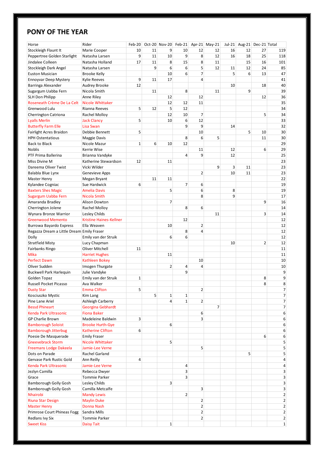#### **PONY OF THE YEAR**

| Horse                                     | Rider                    | $Feb-20$ |    |                |                |                | Oct-20 Nov-20 Feb-21 Apr-21 May-21 |    | Jul-21 Aug-21 Dec-21 Total |                |                |
|-------------------------------------------|--------------------------|----------|----|----------------|----------------|----------------|------------------------------------|----|----------------------------|----------------|----------------|
| Stockleigh Flaunt It                      | Marie Cooper             | 10       | 11 | 9              | 10             | 12             | 12                                 | 16 | 12                         | 27             | 119            |
| Peppertree Golden Starlight               | Natasha Larsen           | 9        | 11 | 10             | 9              | 8              | 12                                 | 16 | 18                         | 25             | 118            |
| Jindalee Colleen                          | Natasha Holland          | 17       | 11 | 8              | 15             | 8              | 11                                 |    | 15                         | 16             | 101            |
| Stockleigh Dark Angel                     | Natasha Larsen           |          | 9  | 6              | 6              | 5              | 12                                 | 11 | 12                         | 24             | 85             |
| <b>Euston Musician</b>                    | <b>Brooke Kelly</b>      |          |    | 10             | 6              | $\overline{7}$ |                                    | 5  | 6                          | 13             | 47             |
| Ennoyvar Deep Mystery                     | <b>Kylie Reeves</b>      | 9        | 11 | 17             |                | 4              |                                    |    |                            |                | 41             |
| Barringa Alexander                        | Audrey Brooke            | 12       |    |                |                |                |                                    | 10 |                            | 18             | 40             |
| Sugargum Uabba Fern                       | Nicola Smith             |          | 11 |                | 8              |                | 11                                 |    | 9                          |                | 39             |
| <b>SLH Don Philipp</b>                    | Anne Riley               |          |    | 12             |                | 12             |                                    |    |                            | 12             | 36             |
| Roseneath Crème De La Celt                | <b>Nicole Whittaker</b>  |          |    | 12             | 12             | 11             |                                    |    |                            |                | 35             |
| Grenwood Lulu                             | Rianna Reeves            | 5        | 12 | 5              | 12             |                |                                    |    |                            |                | 34             |
| Cherrington Catriona                      | Rachel Molloy            |          |    | 12             | 10             | 7              |                                    |    |                            | 5              | 34             |
| <b>Lyalls Merlin</b>                      | <b>Jack Clancy</b>       | 5        |    | 10             | 6              | 12             |                                    |    |                            |                | 33             |
| <b>Butterfly Farm Elle</b>                | Lisa Swan                |          |    |                | 9              | 9              |                                    | 14 |                            |                | 32             |
| Fairlight Acres Braidon                   | Debbie Bennett           | 5        |    |                |                | 10             |                                    |    | 5                          | 10             | 30             |
|                                           |                          |          |    |                | 8              | 6              | 5                                  |    |                            |                |                |
| <b>HPH Ostentatious</b>                   | Maggie Davis             |          |    |                |                |                |                                    |    |                            | 11             | 30             |
| <b>Back to Black</b>                      | Nicole Mazur             | 1        | 6  | 10             | 12             |                |                                    |    |                            |                | 29             |
| <b>Noblis</b>                             | Kerrie Wise              |          |    |                |                | 11             |                                    | 12 |                            | 6              | 29             |
| PTF Prima Ballerina                       | Brianna Vandyke          |          |    |                | 4              | 9              |                                    | 12 |                            |                | 25             |
| Miss Divine M                             | Katherine Stewardson     | 12       |    | 11             |                |                |                                    |    |                            |                | 23             |
| Dareema Oliver Twist                      | Vicki Wilder             |          |    |                |                |                | 9                                  | 3  | 11                         |                | 23             |
| Balabla Blue Lynx                         | Genevieve Apps           |          |    |                |                | 2              |                                    | 10 | 11                         |                | 23             |
| <b>Master Henry</b>                       | Megan Bryant             |          | 11 | 11             |                |                |                                    |    |                            |                | 22             |
| Kylandee Cogniac                          | Sue Hardwick             | 6        |    |                | $\overline{7}$ | 6              |                                    |    |                            |                | 19             |
| <b>Baxters Shes Magic</b>                 | <b>Amelia Davis</b>      |          |    | 5              |                | 6              |                                    | 8  |                            |                | 19             |
| Sugargum Uabba Fern                       | Nicola Smith             |          |    |                |                | 8              |                                    | 9  |                            |                | 17             |
| Amaranda Bradley                          | Alison Dowton            |          |    | 7              |                |                |                                    |    |                            | 9              | 16             |
| Cherrington Jolene                        | Rachel Molloy            |          |    |                | 8              | 6              |                                    |    |                            |                | 14             |
| Wynara Bronze Warrior                     | Lesley Childs            |          |    |                |                |                | 11                                 |    |                            | 3              | 14             |
| <b>Greenwood Memento</b>                  | Kristine Haines-Kellner  |          |    |                | 12             |                |                                    |    |                            |                | 12             |
| Burrowa Bayardo Express                   | Ella Weaven              |          |    | 10             |                | $\overline{2}$ |                                    |    |                            |                | 12             |
| Regazza Dream a Little Dream Emily Fraser |                          |          |    |                | 8              | 4              |                                    |    |                            |                | 12             |
| Dolly                                     | Emily van der Struik     |          |    | 6              | 6              |                |                                    |    |                            |                | 12             |
| <b>Stratfield Misty</b>                   | Lucy Chapman             |          |    |                |                |                |                                    | 10 |                            | $\overline{2}$ | 12             |
| Fairbanks Ringo                           | <b>Oliver Mitchell</b>   | 11       |    |                |                |                |                                    |    |                            |                | 11             |
| <b>Mika</b>                               | <b>Harriet Hughes</b>    |          |    | 11             |                |                |                                    |    |                            |                | 11             |
| <b>Perfect Dawn</b>                       | <b>Kathleen Bokey</b>    |          |    |                |                | 10             |                                    |    |                            |                | 10             |
| Oliver Sudden                             | Imogen Thurgate          |          |    | $\overline{2}$ | 4              | 4              |                                    |    |                            |                | 10             |
| <b>Buckwell Park Harlequin</b>            | Julie Vandyke            |          |    |                | 9              |                |                                    |    |                            |                | 9              |
| Golden Topaz                              | Emily van der Struik     | 1        |    |                |                |                |                                    |    |                            | 8              | 9              |
| Russell Pocket Picasso                    | Ava Walker               |          |    |                |                |                |                                    |    |                            | 8              | 8              |
| <b>Dusty Star</b>                         | <b>Emma Clifton</b>      | 5        |    |                |                | $\overline{2}$ |                                    |    |                            |                | 7              |
| Kosciuszko Mystic                         | Kim Lang                 |          | 5  | 1              | $\mathbf{1}$   |                |                                    |    |                            |                | $\overline{7}$ |
| Pine Lane Ariel                           | Ashleigh Carberry        |          |    | 4              | $\mathbf{1}$   | $\overline{2}$ |                                    |    |                            |                | $\overline{7}$ |
| <b>Bessd Phineart</b>                     | Georgina Gebhardt        |          |    |                |                |                | 7                                  |    |                            |                | 7              |
| Kenda Park Ultrasonic                     | <b>Fiona Baker</b>       |          |    |                |                | 6              |                                    |    |                            |                | 6              |
| <b>GP Charlie Brown</b>                   | Madeleine Baldwin        | 3        |    |                |                | 3              |                                    |    |                            |                | 6              |
| <b>Bamborough Soloist</b>                 | <b>Brooke Hurth-Gye</b>  |          |    | 6              |                |                |                                    |    |                            |                | 6              |
| <b>Bamborough Jitterbug</b>               | <b>Katherine Clifton</b> | 6        |    |                |                |                |                                    |    |                            |                | 6              |
| Poesie De Masquerade                      | <b>Emily Fraser</b>      |          |    |                |                |                |                                    |    |                            | 6              | 6              |
| <b>Gneevebrack Storm</b>                  | <b>Nicole Whittaker</b>  |          |    | 5              |                |                |                                    |    |                            |                | 5              |
| <b>Freemans Lodge Dakeela</b>             | Jamie-Lee Verne          |          |    |                |                | 5              |                                    |    |                            |                | 5              |
| Dots on Parade                            | Rachel Garland           |          |    |                |                |                |                                    |    | 5                          |                | 5              |
| Gervase Park Rustic Gold                  |                          | 4        |    |                |                |                |                                    |    |                            |                | 4              |
|                                           | Ann Reilly               |          |    |                |                |                |                                    |    |                            |                |                |
| Kenda Park Ultrasonic                     | Jamie-Lee Verne          |          |    |                | 4              |                |                                    |    |                            |                | 4              |
| Jezlyn Camilla                            | Rebecca Dwyer            |          |    |                | 3              |                |                                    |    |                            |                | 3              |
| Grace                                     | <b>Tommie Parker</b>     |          |    |                | 3              |                |                                    |    |                            |                | 3              |
| Bamborough Golly Gosh                     | <b>Lesley Childs</b>     |          |    | 3              |                |                |                                    |    |                            |                | 3              |
| Bamborough Golly Gosh                     | Camilla Metcalfe         |          |    |                |                | 3              |                                    |    |                            |                | 3              |
| Nhairobi                                  | <b>Mandy Lewis</b>       |          |    |                | $\overline{2}$ |                |                                    |    |                            |                | 2              |
| <b>Riuna Star Design</b>                  | <b>Maylin Duke</b>       |          |    |                |                | $\overline{2}$ |                                    |    |                            |                | $\overline{2}$ |
| <b>Master Henry</b>                       | Donna Nash               |          |    |                |                | $\overline{2}$ |                                    |    |                            |                | 2              |
| Primrose Court Phineas Fogg               | Sandra Mills             |          |    |                |                | $\overline{2}$ |                                    |    |                            |                | 2              |
| Redlans Ivy Six                           | <b>Tommie Parker</b>     |          |    |                |                | $\overline{2}$ |                                    |    |                            |                | 2              |
| <b>Sweet Kiss</b>                         | <b>Daisy Tait</b>        |          |    | $\mathbf 1$    |                |                |                                    |    |                            |                | $\mathbf{1}$   |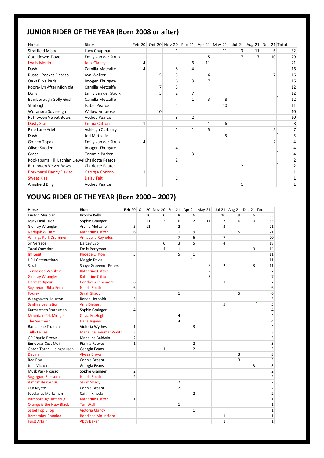#### **JUNIOR RIDER OF THE YEAR (Born 2008 or after)**

| Horse                                          | Rider                   | $Feb-20$ |    |                |                |    | Oct-20 Nov-20 Feb-21 Apr-21 May-21 |                | Jul-21 Aug-21 Dec-21 Total |                |    |
|------------------------------------------------|-------------------------|----------|----|----------------|----------------|----|------------------------------------|----------------|----------------------------|----------------|----|
| <b>Stratfield Misty</b>                        | Lucy Chapman            |          |    |                |                |    | 11                                 |                | 11                         | 6              | 32 |
| Coolidowns Dove                                | Emily van der Struik    |          |    |                |                | 5  |                                    |                |                            | 10             | 29 |
| <b>Lyalls Merlin</b>                           | <b>Jack Clancy</b>      | 4        |    |                | 6              | 11 |                                    |                |                            |                | 21 |
| Dash                                           | Camilla Metcalfe        | 4        |    | 8              | 4              |    |                                    |                |                            |                | 16 |
| <b>Russell Pocket Picasso</b>                  | Ava Walker              |          | 5  | 5              |                | 6  |                                    |                |                            | $\overline{7}$ | 16 |
| Oaks Elixa Paris                               | Imogen Thurgate         |          |    | 6              | 3              | 7  |                                    |                |                            |                | 16 |
| Koora-Iyn After Midnight                       | Camilla Metcalfe        |          | 7  | 5              |                |    |                                    |                |                            |                | 12 |
| Dolly                                          | Emily van der Struik    |          | 3  | $\overline{2}$ | 7              |    |                                    |                |                            |                | 12 |
| <b>Bamborough Golly Gosh</b>                   | Camilla Metcalfe        |          |    |                |                | 3  | 8                                  |                |                            |                | 12 |
| Starbright                                     | <b>Isabel Pearce</b>    |          |    |                |                |    | 10                                 |                |                            |                | 11 |
| Woranora Sovereign                             | <b>Willow Ambrose</b>   |          | 10 |                |                |    |                                    |                |                            |                | 10 |
| <b>Rathowen Velvet Bows</b>                    | <b>Audrey Pearce</b>    |          |    | 8              | $\overline{2}$ |    |                                    |                |                            |                | 10 |
| <b>Dusty Star</b>                              | <b>Emma Clifton</b>     | 1        |    |                |                | 1  | 6                                  |                |                            |                | 8  |
| Pine Lane Ariel                                | Ashleigh Carberry       |          |    | 1              | $\mathbf{1}$   | 5  |                                    |                |                            | 5              |    |
| Dash                                           | Jed Metcalfe            |          |    |                |                |    | 5                                  |                |                            |                |    |
| Golden Topaz                                   | Emily van der Struik    | 4        |    |                |                |    |                                    |                |                            | $\overline{2}$ |    |
| Oliver Sudden                                  | Imogen Thurgate         |          |    | 4              |                |    |                                    |                |                            |                |    |
| Grace                                          | Tommie Parker           |          |    |                | 3              | 1  |                                    |                |                            |                |    |
| Kookaburra Hill Lachlan Llewe Charlotte Pearce |                         |          |    | $\overline{2}$ |                |    |                                    |                |                            |                |    |
| Rathowen Velvet Bows                           | <b>Charlotte Pearce</b> |          |    |                |                |    |                                    | $\overline{2}$ |                            |                |    |
| <b>Brewharni Danny Devito</b>                  | Georgia Conron          | 1        |    |                |                |    |                                    |                |                            |                |    |
| <b>Sweet Kiss</b>                              | Daisy Tait              |          |    | $\mathbf{1}$   |                |    |                                    |                |                            |                |    |
| Amisfield Billy                                | <b>Audrey Pearce</b>    |          |    |                |                |    |                                    | 1              |                            |                |    |

#### **YOUNG RIDER OF THE YEAR (Born 2000 – 2007)**

|                              | Rider                     |                |    |                |                |                |                                    |                |                            |    |                         |
|------------------------------|---------------------------|----------------|----|----------------|----------------|----------------|------------------------------------|----------------|----------------------------|----|-------------------------|
| Horse                        |                           | $Feb-20$       | 10 |                |                |                | Oct-20 Nov-20 Feb-21 Apr-21 May-21 |                | Jul-21 Aug-21 Dec-21 Total |    |                         |
| <b>Euston Musician</b>       | <b>Brooke Kelly</b>       |                |    | 6              | 8              | 6              |                                    | 10             | 9                          | 6  | 55                      |
| Mjay Final Trick             | Sophie Grainger           |                | 11 | $\overline{2}$ | 6              | $\overline{2}$ | 11                                 | $\overline{7}$ | 6                          | 10 | 55                      |
| Glenray Wrangler             | Archie Metcalfe           | 5              | 11 |                | $\overline{2}$ |                |                                    | 3              |                            |    | 21                      |
| Nadajak William              | <b>Katherine Clifton</b>  | 6              |    |                | $\mathbf{1}$   | 9              |                                    |                | 5                          |    | 21                      |
| <b>Willinga Park Drummer</b> | <b>Annabelle Reynolds</b> |                |    |                | $\overline{7}$ | 6              |                                    | $\overline{7}$ |                            |    | 20                      |
| Sir Versace                  | Darcey Eyb                |                |    | 6              | 3              | 5              |                                    | 4              |                            |    | 18                      |
| <b>Tocal Question</b>        | Emily Perryman            |                |    | $\overline{4}$ | $\mathbf{1}$   |                |                                    |                |                            | 9  | 14                      |
| Im Legit                     | <b>Phoebe Clifton</b>     | 5              |    |                | 5              | $\mathbf{1}$   |                                    |                |                            |    | 11                      |
| <b>HPH Ostentatious</b>      | Maggie Davis              |                |    |                |                | 11             |                                    |                |                            |    | 11                      |
| Sarabi                       | Shaye Grovenor-Peters     |                |    |                |                |                | 6                                  | $\overline{2}$ |                            | 3  | 11                      |
| <b>Tennassee Whiskey</b>     | <b>Katherine Clifton</b>  |                |    |                |                |                | $\overline{7}$                     |                |                            |    | $\overline{7}$          |
| <b>Glenray Wrangler</b>      | <b>Katherine Clifton</b>  |                |    |                |                |                | $\overline{7}$                     |                |                            |    | $\overline{7}$          |
| <b>Harvest Ripcurl</b>       | <b>Ceridwen Fenemore</b>  | 6              |    |                |                |                |                                    | $\mathbf{1}$   |                            |    | $\overline{7}$          |
| Sugargum Ubba Fern           | Nicola Smith              | 6              |    |                |                |                |                                    |                |                            |    | 6                       |
| <b>Fourex</b>                | <b>Sarah Shady</b>        |                |    |                | $\mathbf{1}$   |                |                                    |                | 5                          |    | 6                       |
| Wanghaven Houston            | Renee Herboldt            | 5              |    |                |                |                |                                    |                |                            |    | 5                       |
| <b>Sanlirra Levitation</b>   | <b>Amy Diebert</b>        |                |    |                |                |                |                                    | 5              |                            |    | 5                       |
| Karmarthen Statesman         | Sophie Grainger           | 4              |    |                |                |                |                                    |                |                            |    | $\overline{4}$          |
| <b>Mountain Crk Mirage</b>   | <b>Olivia McHugh</b>      |                |    |                | $\overline{4}$ |                |                                    |                |                            |    | 4                       |
| <b>The Southern</b>          | Hana Jugovic              |                |    |                | 4              |                |                                    |                |                            |    | 4                       |
| <b>Bandalene Truman</b>      | Victoria Wythes           | 1              |    |                |                | 3              |                                    |                |                            |    | 4                       |
| Tulla La Lea                 | Madeline Bowman-Smith     | 3              |    |                |                |                |                                    |                |                            |    | 3                       |
| <b>GP Charlie Brown</b>      | Madeline Baldwin          | $\overline{2}$ |    |                |                | $\mathbf 1$    |                                    |                |                            |    | $\overline{\mathbf{3}}$ |
| Ennovyar Cest Moi            | Rianna Reeves             | $\mathbf{1}$   |    |                |                | $\overline{2}$ |                                    |                |                            |    | $\overline{\mathbf{3}}$ |
| Goron Toron Ludinghausen     | Georgia Evans             |                |    | $\mathbf{1}$   |                | $\overline{2}$ |                                    |                |                            |    | $\overline{\mathbf{3}}$ |
| <b>Davina</b>                | <b>Alyssa Brown</b>       |                |    |                |                |                |                                    |                | 3                          |    | $\overline{\mathbf{3}}$ |
| Red Roy                      | Connie Besant             |                |    |                |                |                |                                    |                | 3                          |    | $\overline{\mathbf{3}}$ |
| Jolie Victoire               | Georgia Evans             |                |    |                |                |                |                                    |                |                            | 3  | $\overline{\mathbf{3}}$ |
| Musk Park Picasso            | Sophie Grainger           | $\overline{2}$ |    |                |                |                |                                    |                |                            |    | $\overline{2}$          |
| <b>Sugargum Blossom</b>      | <b>Nicola Smith</b>       | $\overline{2}$ |    |                |                |                |                                    |                |                            |    | $\overline{2}$          |
| <b>Almost Heaven KC</b>      | Sarah Shady               |                |    |                | $\overline{2}$ |                |                                    |                |                            |    | $\overline{2}$          |
| Our Krypto                   | Connie Besant             |                |    |                | $\overline{2}$ |                |                                    |                |                            |    | $\overline{2}$          |
| Joselands Marksman           | Caitlin Kinsela           |                |    |                |                | $\overline{2}$ |                                    |                |                            |    | $\overline{2}$          |
| <b>Bamborough Jitterbug</b>  | Katherine Clifton         | $\mathbf{1}$   |    |                |                |                |                                    |                |                            |    | $\mathbf 1$             |
| Orange is the New Black      | <b>Tori Wall</b>          |                |    |                | $\mathbf{1}$   |                |                                    |                |                            |    | $\mathbf 1$             |
| <b>Sabel Top Chop</b>        | <b>Victoria Clancy</b>    |                |    |                |                | $\mathbf{1}$   |                                    |                |                            |    | $\mathbf 1$             |
| <b>Remember Ronaldo</b>      | <b>Boadicea Mountford</b> |                |    |                |                |                |                                    | 1              |                            |    | $\mathbf 1$             |
| <b>Furst Affair</b>          | <b>Abby Baker</b>         |                |    |                |                |                |                                    | $\mathbf{1}$   |                            |    | $\mathbf{1}$            |
|                              |                           |                |    |                |                |                |                                    |                |                            |    |                         |